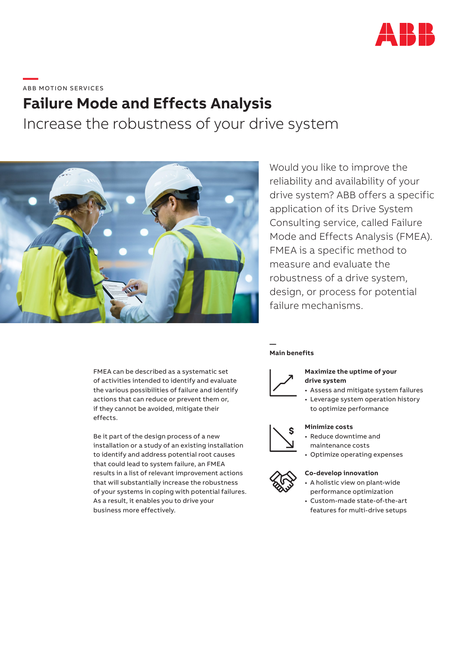

# **—**  ABB MOTION SERVICES

# **Failure Mode and Effects Analysis**

Increase the robustness of your drive system



Would you like to improve the reliability and availability of your drive system? ABB offers a specific application of its Drive System Consulting service, called Failure Mode and Effects Analysis (FMEA). FMEA is a specific method to measure and evaluate the robustness of a drive system, design, or process for potential failure mechanisms.

FMEA can be described as a systematic set of activities intended to identify and evaluate the various possibilities of failure and identify actions that can reduce or prevent them or, if they cannot be avoided, mitigate their effects.

Be it part of the design process of a new installation or a study of an existing installation to identify and address potential root causes that could lead to system failure, an FMEA results in a list of relevant improvement actions that will substantially increase the robustness of your systems in coping with potential failures. As a result, it enables you to drive your business more effectively.

# **Main benefits**



**—**

# **Maximize the uptime of your drive system**

- Assess and mitigate system failures
- Leverage system operation history to optimize performance



## **Minimize costs**

- Reduce downtime and maintenance costs
- Optimize operating expenses

#### **Co-develop innovation**

- A holistic view on plant-wide performance optimization
- Custom-made state-of-the-art features for multi-drive setups